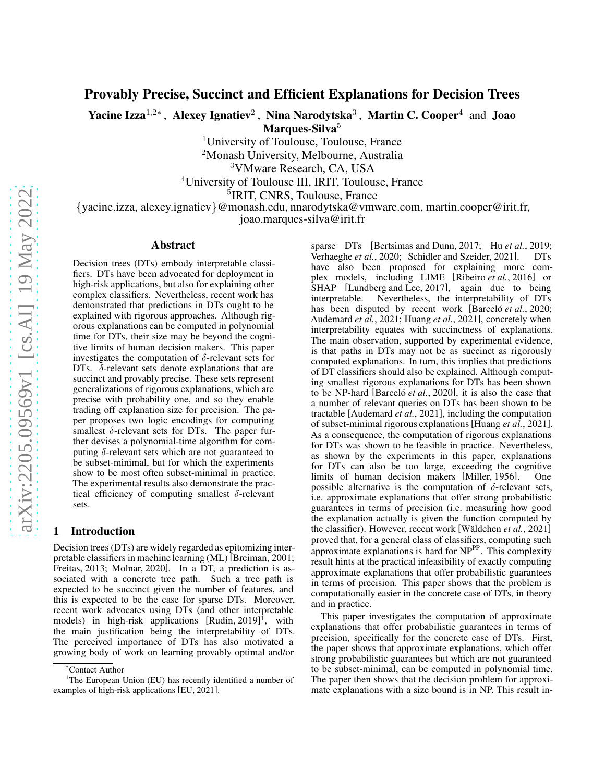# Provably Precise, Succinct and Efficient Explanations for Decision Trees

Yacine Izza<sup>1,2</sup>\*, Alexey Ignatiev<sup>2</sup>, Nina Narodytska<sup>3</sup>, Martin C. Cooper<sup>4</sup> and Joao Marques-Silva<sup>5</sup>

<sup>1</sup>University of Toulouse, Toulouse, France

<sup>2</sup>Monash University, Melbourne, Australia

<sup>3</sup>VMware Research, CA, USA

<sup>4</sup>University of Toulouse III, IRIT, Toulouse, France

<sup>5</sup>IRIT, CNRS, Toulouse, France

{yacine.izza, alexey.ignatiev}@monash.edu, nnarodytska@vmware.com, martin.cooper@irit.fr,

joao.marques-silva@irit.fr

#### Abstract

Decision trees (DTs) embody interpretable classifiers. DTs have been advocated for deployment in high-risk applications, but also for explaining other complex classifiers. Nevertheless, recent work has demonstrated that predictions in DTs ought to be explained with rigorous approaches. Although rigorous explanations can be computed in polynomial time for DTs, their size may be beyond the cognitive limits of human decision makers. This paper investigates the computation of  $\delta$ -relevant sets for DTs.  $\delta$ -relevant sets denote explanations that are succinct and provably precise. These sets represent generalizations of rigorous explanations, which are precise with probability one, and so they enable trading off explanation size for precision. The paper proposes two logic encodings for computing smallest  $\delta$ -relevant sets for DTs. The paper further devises a polynomial-time algorithm for computing  $\delta$ -relevant sets which are not guaranteed to be subset-minimal, but for which the experiments show to be most often subset-minimal in practice. The experimental results also demonstrate the practical efficiency of computing smallest  $\delta$ -relevant sets.

#### 1 Introduction

Decision trees (DTs) are widely regarded as epitomizing interpretable classifiers in machine learning (ML) [\[Breiman, 2001;](#page-7-0) [Freitas, 2013;](#page-7-1) [Molnar, 2020\]](#page-7-2). In a DT, a prediction is associated with a concrete tree path. Such a tree path is expected to be succinct given the number of features, and this is expected to be the case for sparse DTs. Moreover, recent work advocates using DTs (and other interpretable models) in high-risk applications [\[Rudin, 2019\]](#page-7-3)<sup>f</sup>, with the main justification being the interpretability of DTs. The perceived importance of DTs has also motivated a growing body of work on learning provably optimal and/or

sparse DTs [\[Bertsimas and Dunn, 2017;](#page-6-0) Hu *et al.*[, 2019;](#page-7-5) [Verhaeghe](#page-7-6) *et al.*, 2020; [Schidler and Szeider, 2021\]](#page-7-7). DTs have also been proposed for explaining more complex models, including LIME [\[Ribeiro](#page-7-8) *et al.*, 2016] or SHAP [\[Lundberg and Lee, 2017\]](#page-7-9), again due to being interpretable. Nevertheless, the interpretability of DTs has been disputed by recent work [Barcel o *et al.*, 2020; [Audemard](#page-6-2) *et al.*, 2021; [Huang](#page-7-10) *et al.*, 2021], concretely when interpretability equates with succinctness of explanations. The main observation, supported by experimental evidence, is that paths in DTs may not be as succinct as rigorously computed explanations. In turn, this implies that predictions of DT classifiers should also be explained. Although computing smallest rigorous explanations for DTs has been shown to be NP-hard [Barcel *o et al.*, 2020], it is also the case that a number of relevant queries on DTs has been shown to be tractable [\[Audemard](#page-6-2) *et al.*, 2021], including the computation of subset-minimal rigorous explanations[\[Huang](#page-7-10) *et al.*, 2021]. As a consequence, the computation of rigorous explanations for DTs was shown to be feasible in practice. Nevertheless, as shown by the experiments in this paper, explanations for DTs can also be too large, exceeding the cognitive limits of human decision makers [\[Miller, 1956\]](#page-7-11). One possible alternative is the computation of  $\delta$ -relevant sets, i.e. approximate explanations that offer strong probabilistic guarantees in terms of precision (i.e. measuring how good the explanation actually is given the function computed by the classifier). However, recent work [\[W¨aldchen](#page-7-12) *et al.*, 2021] proved that, for a general class of classifiers, computing such approximate explanations is hard for  $NP^{PP}$ . This complexity result hints at the practical infeasibility of exactly computing approximate explanations that offer probabilistic guarantees in terms of precision. This paper shows that the problem is computationally easier in the concrete case of DTs, in theory and in practice.

This paper investigates the computation of approximate explanations that offer probabilistic guarantees in terms of precision, specifically for the concrete case of DTs. First, the paper shows that approximate explanations, which offer strong probabilistic guarantees but which are not guaranteed to be subset-minimal, can be computed in polynomial time. The paper then shows that the decision problem for approximate explanations with a size bound is in NP. This result in-

<sup>∗</sup>Contact Author

<sup>&</sup>lt;sup>1</sup>The European Union (EU) has recently identified a number of examples of high-risk applications [\[EU, 2021\]](#page-7-4).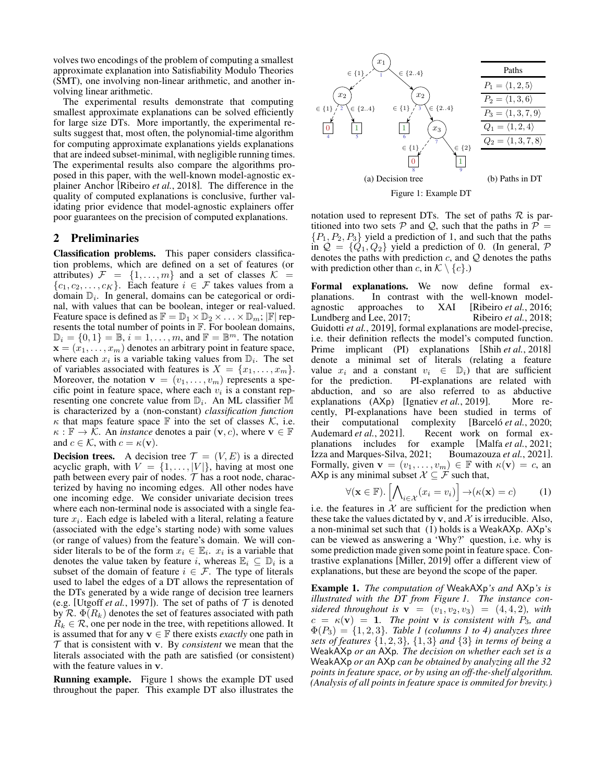volves two encodings of the problem of computing a smallest approximate explanation into Satisfiability Modulo Theories (SMT), one involving non-linear arithmetic, and another involving linear arithmetic.

The experimental results demonstrate that computing smallest approximate explanations can be solved efficiently for large size DTs. More importantly, the experimental results suggest that, most often, the polynomial-time algorithm for computing approximate explanations yields explanations that are indeed subset-minimal, with negligible running times. The experimental results also compare the algorithms proposed in this paper, with the well-known model-agnostic explainer Anchor [\[Ribeiro](#page-7-13) *et al.*, 2018]. The difference in the quality of computed explanations is conclusive, further validating prior evidence that model-agnostic explainers offer poor guarantees on the precision of computed explanations.

# 2 Preliminaries

Classification problems. This paper considers classification problems, which are defined on a set of features (or attributes)  $\mathcal{F} = \{1, \ldots, m\}$  and a set of classes  $\mathcal{K} =$  $\{c_1, c_2, \ldots, c_K\}$ . Each feature  $i \in \mathcal{F}$  takes values from a domain  $\mathbb{D}_i$ . In general, domains can be categorical or ordinal, with values that can be boolean, integer or real-valued. Feature space is defined as  $\mathbb{F} = \mathbb{D}_1 \times \mathbb{D}_2 \times \ldots \times \mathbb{D}_m$ ;  $|\mathbb{F}|$  represents the total number of points in F. For boolean domains,  $\mathbb{D}_i = \{0, 1\} = \mathbb{B}, i = 1, \dots, m$ , and  $\mathbb{F} = \mathbb{B}^m$ . The notation  $\mathbf{x} = (x_1, \dots, x_m)$  denotes an arbitrary point in feature space, where each  $x_i$  is a variable taking values from  $\mathbb{D}_i$ . The set of variables associated with features is  $X = \{x_1, \ldots, x_m\}.$ Moreover, the notation  $\mathbf{v} = (v_1, \dots, v_m)$  represents a specific point in feature space, where each  $v_i$  is a constant representing one concrete value from  $\mathbb{D}_i$ . An ML classifier M is characterized by a (non-constant) *classification function*  $\kappa$  that maps feature space F into the set of classes  $\mathcal{K}$ , i.e.  $\kappa : \mathbb{F} \to \mathcal{K}$ . An *instance* denotes a pair  $(\mathbf{v}, c)$ , where  $\mathbf{v} \in \mathbb{F}$ and  $c \in \mathcal{K}$ , with  $c = \kappa(\mathbf{v})$ .

**Decision trees.** A decision tree  $\mathcal{T} = (V, E)$  is a directed acyclic graph, with  $V = \{1, \ldots, |V|\}$ , having at most one path between every pair of nodes.  $T$  has a root node, characterized by having no incoming edges. All other nodes have one incoming edge. We consider univariate decision trees where each non-terminal node is associated with a single feature  $x_i$ . Each edge is labeled with a literal, relating a feature (associated with the edge's starting node) with some values (or range of values) from the feature's domain. We will consider literals to be of the form  $x_i \in \mathbb{E}_i$ .  $x_i$  is a variable that denotes the value taken by feature *i*, whereas  $\mathbb{E}_i \subseteq \mathbb{D}_i$  is a subset of the domain of feature  $i \in \mathcal{F}$ . The type of literals used to label the edges of a DT allows the representation of the DTs generated by a wide range of decision tree learners (e.g. [\[Utgoff](#page-7-14) *et al.*, 1997]). The set of paths of  $T$  is denoted by R.  $\Phi(R_k)$  denotes the set of features associated with path  $R_k \in \mathcal{R}$ , one per node in the tree, with repetitions allowed. It is assumed that for any  $\mathbf{v} \in \mathbb{F}$  there exists *exactly* one path in  $T$  that is consistent with v. By *consistent* we mean that the literals associated with the path are satisfied (or consistent) with the feature values in v.

Running example. [Figure 1](#page-1-0) shows the example DT used throughout the paper. This example DT also illustrates the

<span id="page-1-0"></span>



notation used to represent DTs. The set of paths  $R$  is partitioned into two sets P and Q, such that the paths in  $P =$  ${P_1, P_2, P_3}$  yield a prediction of 1, and such that the paths in  $\mathcal{Q} = \{Q_1, Q_2\}$  yield a prediction of 0. (In general, P denotes the paths with prediction  $c$ , and  $Q$  denotes the paths with prediction other than c, in  $\mathcal{K} \setminus \{c\}$ .)

Formal explanations. We now define formal explanations. In contrast with the well-known modelagnostic approaches to XAI [\[Ribeiro](#page-7-8) *et al.*, 2016; [Lundberg and Lee, 2017;](#page-7-9) [Ribeiro](#page-7-13) *et al.*, 2018; [Guidotti](#page-7-15) *et al.*, 2019], formal explanations are model-precise, i.e. their definition reflects the model's computed function. Prime implicant (PI) explanations [Shih *et al.*[, 2018\]](#page-7-16) denote a minimal set of literals (relating a feature value  $x_i$  and a constant  $v_i \in \mathbb{D}_i$ ) that are sufficient for the prediction. PI-explanations are related with PI-explanations are related with abduction, and so are also referred to as abductive explanations (AXp) [\[Ignatiev](#page-7-17) *et al.*, 2019]. More recently, PI-explanations have been studied in terms of their computational complexity [Barceló *et al.*, 2020; their computational complexity [Barceló *et al.*, 2020;<br>Audemard *et al.*, 2021]. Recent work on formal ex-Recent work on formal explanations includes for example [Malfa *et al.*[, 2021;](#page-7-18) [Izza and Marques-Silva, 2021;](#page-7-19) [Boumazouza](#page-7-20) *et al.*, 2021]. Formally, given  $\mathbf{v} = (v_1, \dots, v_m) \in \mathbb{F}$  with  $\kappa(\mathbf{v}) = c$ , an AXp is any minimal subset  $X \subseteq \mathcal{F}$  such that,

<span id="page-1-1"></span>
$$
\forall (\mathbf{x} \in \mathbb{F}). \left[ \bigwedge_{i \in \mathcal{X}} (x_i = v_i) \right] \to (\kappa(\mathbf{x}) = c) \tag{1}
$$

i.e. the features in  $X$  are sufficient for the prediction when these take the values dictated by v, and  $\chi$  is irreducible. Also, a non-minimal set such that [\(1\)](#page-1-1) holds is a WeakAXp. AXp's can be viewed as answering a 'Why?' question, i.e. why is some prediction made given some point in feature space. Contrastive explanations [\[Miller, 2019\]](#page-7-21) offer a different view of explanations, but these are beyond the scope of the paper.

Example 1. *The computation of* WeakAXp*'s and* AXp*'s is illustrated with the DT from [Figure 1.](#page-1-0) The instance considered throughout is*  $v = (v_1, v_2, v_3) = (4, 4, 2)$ *, with*  $c = \kappa(\mathbf{v}) = 1$ . The point **v** is consistent with  $P_3$ , and  $\Phi(P_3) = \{1, 2, 3\}$ *. [Table 1](#page-2-0) (columns 1 to 4) analyzes three sets of features* {1, 2, 3}*,* {1, 3} *and* {3} *in terms of being a* WeakAXp *or an* AXp*. The decision on whether each set is a* WeakAXp *or an* AXp *can be obtained by analyzing all the 32 points in feature space, or by using an off-the-shelf algorithm. (Analysis of all points in feature space is ommited for brevity.)*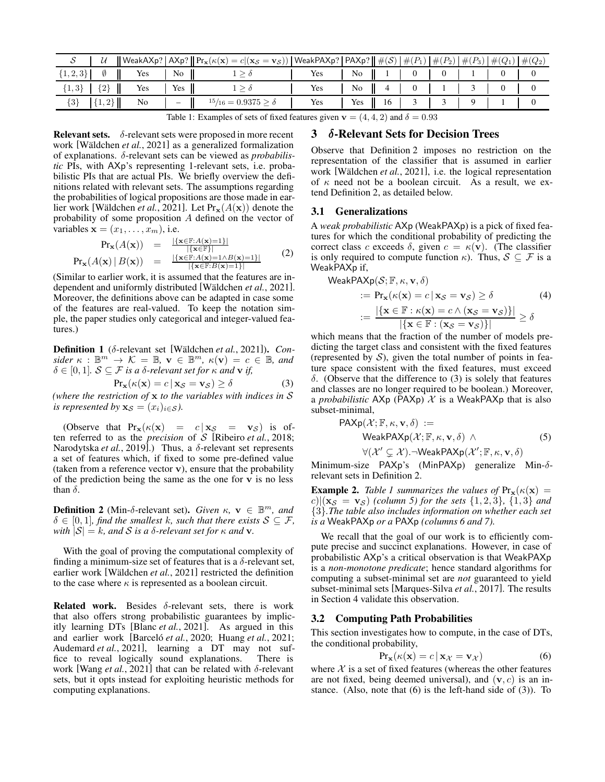<span id="page-2-0"></span>

|                                    |  | $\left\ \begin{array}{cc} \mathcal{U} & \ \mathsf{WeakAXp?}\end{array}\right \mathsf{AXp?}\left\ \mathsf{Pr_x}(\kappa(\mathbf{x})=c (\mathbf{x}_{\mathcal{S}}=\mathbf{v}_{\mathcal{S}}))\right \mathsf{WeakPAXp?}\left\ \mathsf{PAXp?}\right\ \#\mathcal{S})\left\ \#\mathcal{P}_1\right\ \#\mathcal{P}_2\right\ \#\mathcal{P}_3\right)\left\ \#\mathcal{Q}_1\right\ \#\mathcal{Q}_2\right\ $ |     |     |                    |  |  |  |  |                                        |  |
|------------------------------------|--|-----------------------------------------------------------------------------------------------------------------------------------------------------------------------------------------------------------------------------------------------------------------------------------------------------------------------------------------------------------------------------------------------|-----|-----|--------------------|--|--|--|--|----------------------------------------|--|
| $\{1,2,3\}$ $\emptyset$   Yes   No |  |                                                                                                                                                                                                                                                                                                                                                                                               |     | Yes |                    |  |  |  |  |                                        |  |
| ${1,3}$ ${2}$ $\ $ Yes Yes T       |  |                                                                                                                                                                                                                                                                                                                                                                                               | Yes |     | No   4   0   1   3 |  |  |  |  | $\begin{array}{ccc} & 0 & \end{array}$ |  |
| $\{3\}$ 1.                         |  | $\left\  \{1,2\} \right\ $ No $\left\  - \right\ $ $^{15}/_{16} = 0.9375 \ge \delta$                                                                                                                                                                                                                                                                                                          | Yes |     |                    |  |  |  |  |                                        |  |

Table 1: Examples of sets of fixed features given  $v = (4, 4, 2)$  and  $\delta = 0.93$ 

**Relevant sets.**  $\delta$ -relevant sets were proposed in more recent work [Wäldchen et al., 2021] as a generalized formalization of explanations. δ-relevant sets can be viewed as *probabilistic* PIs, with AXp's representing 1-relevant sets, i.e. probabilistic PIs that are actual PIs. We briefly overview the definitions related with relevant sets. The assumptions regarding the probabilities of logical propositions are those made in earlier work [Wäldchen *et al.*, 2021]. Let  $Pr_{\mathbf{x}}(A(\mathbf{x}))$  denote the probability of some proposition A defined on the vector of variables  $\mathbf{x} = (x_1, \dots, x_m)$ , i.e.

$$
Pr_{\mathbf{x}}(A(\mathbf{x})) = \frac{|\{\mathbf{x} \in \mathbb{F}: A(\mathbf{x})=1\}|}{|\{\mathbf{x} \in \mathbb{F}\}|}
$$
  
\n
$$
Pr_{\mathbf{x}}(A(\mathbf{x}) | B(\mathbf{x})) = \frac{|\{\mathbf{x} \in \mathbb{F}: A(\mathbf{x})=1 \land B(\mathbf{x})=1\}|}{|\{\mathbf{x} \in \mathbb{F}: B(\mathbf{x})=1\}|}
$$
(2)

(Similar to earlier work, it is assumed that the features are independent and uniformly distributed [\[W¨aldchen](#page-7-12) *et al.*, 2021]. Moreover, the definitions above can be adapted in case some of the features are real-valued. To keep the notation simple, the paper studies only categorical and integer-valued features.)

Definition 1 (δ-relevant set [Wäldchen *et al.*, 2021]). *Con* $sider \ \kappa \ : \ \mathbb{B}^m \to \ \mathcal{K} = \mathbb{B}, \ \mathbf{v} \in \ \mathbb{B}^m, \ \kappa(\mathbf{v}) = c \in \mathbb{B}, \ and$  $\delta \in [0, 1]$ *.*  $S \subseteq \mathcal{F}$  *is a*  $\delta$ *-relevant set for*  $\kappa$  *and* **v** *if,* 

$$
Pr_{\mathbf{x}}(\kappa(\mathbf{x}) = c \,|\, \mathbf{x}_{\mathcal{S}} = \mathbf{v}_{\mathcal{S}}) \ge \delta \tag{3}
$$

*(where the restriction of* x *to the variables with indices in* S *is represented by*  $\mathbf{x}_{\mathcal{S}} = (x_i)_{i \in \mathcal{S}}$ *).* 

(Observe that  $Pr_{\mathbf{x}}(\kappa(\mathbf{x})) = c | \mathbf{x}_{\mathcal{S}} = \mathbf{v}_{\mathcal{S}}$ ) is often referred to as the *precision* of S [\[Ribeiro](#page-7-13) *et al.*, 2018; [Narodytska](#page-7-22) *et al.*, 2019].) Thus, a δ-relevant set represents a set of features which, if fixed to some pre-defined value (taken from a reference vector  $\bf{v}$ ), ensure that the probability of the prediction being the same as the one for  $v$  is no less than  $\delta$ .

<span id="page-2-1"></span>**Definition 2** (Min- $\delta$ -relevant set). *Given*  $\kappa$ ,  $\mathbf{v} \in \mathbb{B}^m$ , and  $\delta \in [0, 1]$ *, find the smallest* k*, such that there exists*  $S \subseteq \mathcal{F}$ *, with*  $|S| = k$ *, and S is a*  $\delta$ *-relevant set for*  $\kappa$  *and* **v**.

With the goal of proving the computational complexity of finding a minimum-size set of features that is a  $\delta$ -relevant set, earlier work [Wäldchen *et al.*, 2021] restricted the definition to the case where  $\kappa$  is represented as a boolean circuit.

<span id="page-2-6"></span>**Related work.** Besides  $\delta$ -relevant sets, there is work that also offers strong probabilistic guarantees by implicitly learning DTs [Blanc *et al.*[, 2021\]](#page-7-23). As argued in this and earlier work [Barceló et al., 2020; [Huang](#page-7-10) et al., 2021; [Audemard](#page-6-2) *et al.*, 2021], learning a DT may not suffice to reveal logically sound explanations. There is work [Wang *et al.*[, 2021\]](#page-7-24) that can be related with δ-relevant sets, but it opts instead for exploiting heuristic methods for computing explanations.

# 3 δ-Relevant Sets for Decision Trees

Observe that [Definition 2](#page-2-1) imposes no restriction on the representation of the classifier that is assumed in earlier work [Wäldchen *et al.*, 2021], i.e. the logical representation of  $\kappa$  need not be a boolean circuit. As a result, we extend [Definition 2,](#page-2-1) as detailed below.

#### 3.1 Generalizations

A *weak probabilistic* AXp (WeakPAXp) is a pick of fixed features for which the conditional probability of predicting the correct class c exceeds  $\delta$ , given  $c = \kappa(\mathbf{v})$ . (The classifier is only required to compute function  $\kappa$ ). Thus,  $S \subseteq \mathcal{F}$  is a WeakPAXp if,

<span id="page-2-4"></span>WeakPAXp(S; F, κ, **v**, δ)  
\n:= Pr<sub>**x**</sub>(κ(**x**) = c | **x**<sub>S</sub> = **v**<sub>S</sub>) ≥ δ (4)  
\n:= 
$$
\frac{|\{x \in F : \kappa(\mathbf{x}) = c \land (\mathbf{x}_S = \mathbf{v}_S)\}|}{|\{\mathbf{x} \in F : (\mathbf{x}_S = \mathbf{v}_S)\}|} ≥ δ
$$

<span id="page-2-2"></span>which means that the fraction of the number of models predicting the target class and consistent with the fixed features (represented by  $S$ ), given the total number of points in feature space consistent with the fixed features, must exceed δ. (Observe that the difference to [\(3\)](#page-2-2) is solely that features and classes are no longer required to be boolean.) Moreover, a *probabilistic*  $AXp (PAXp)$  X is a WeakPAXp that is also subset-minimal,

$$
\begin{array}{lll}\n\text{PAXp}(\mathcal{X}; \mathbb{F}, \kappa, \mathbf{v}, \delta) &:= \\
& \text{WeakPAXp}(\mathcal{X}; \mathbb{F}, \kappa, \mathbf{v}, \delta) \land \\
& \forall (\mathcal{X}' \subsetneq \mathcal{X}) \dots \text{WeakPAXp}(\mathcal{X}'; \mathbb{F}, \kappa, \mathbf{v}, \delta)\n\end{array} \tag{5}
$$

Minimum-size PAXp's (MinPAXp) generalize Min-δrelevant sets in [Definition 2.](#page-2-1)

**Example 2.** *[Table 1](#page-2-0)* summarizes the values of  $Pr_{\mathbf{x}}(\kappa(\mathbf{x})) =$  $|c|$  (**x**<sub>S</sub> = **v**<sub>S</sub>) (*column 5*) for the sets {1, 2, 3}, {1, 3} *and* {3}*.The table also includes information on whether each set is a* WeakPAXp *or a* PAXp *(columns 6 and 7).*

We recall that the goal of our work is to efficiently compute precise and succinct explanations. However, in case of probabilistic AXp's a critical observation is that WeakPAXp is a *non-monotone predicate*; hence standard algorithms for computing a subset-minimal set are *not* guaranteed to yield subset-minimal sets [\[Marques-Silva](#page-7-25) *et al.*, 2017]. The results in [Section 4](#page-4-0) validate this observation.

#### <span id="page-2-5"></span>3.2 Computing Path Probabilities

This section investigates how to compute, in the case of DTs, the conditional probability,

<span id="page-2-3"></span>
$$
Pr_{\mathbf{x}}(\kappa(\mathbf{x}) = c \,|\, \mathbf{x}_{\mathcal{X}} = \mathbf{v}_{\mathcal{X}}) \tag{6}
$$

where  $X$  is a set of fixed features (whereas the other features are not fixed, being deemed universal), and  $(v, c)$  is an instance. (Also, note that  $(6)$  is the left-hand side of  $(3)$ ). To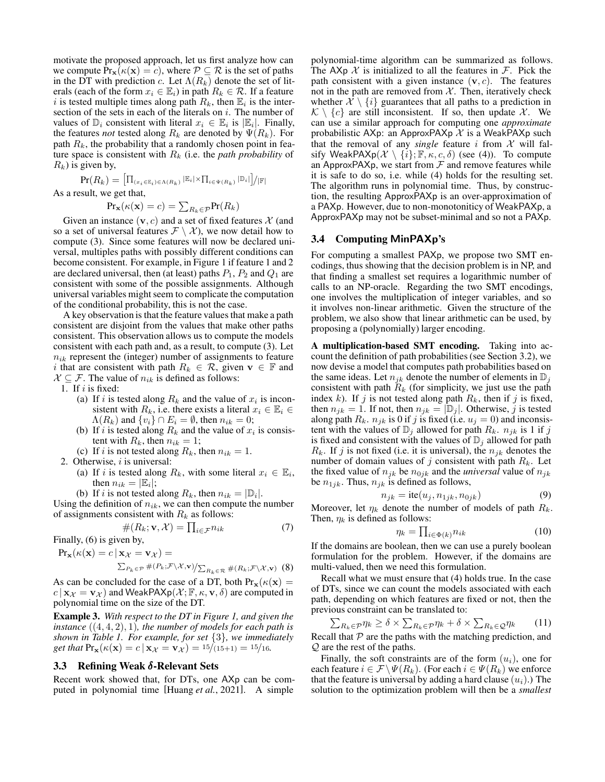motivate the proposed approach, let us first analyze how can we compute  $Pr_{\mathbf{x}}(\kappa(\mathbf{x}) = c)$ , where  $\mathcal{P} \subseteq \mathcal{R}$  is the set of paths in the DT with prediction c. Let  $\Lambda(R_k)$  denote the set of literals (each of the form  $x_i \in \mathbb{E}_i$ ) in path  $R_k \in \mathcal{R}$ . If a feature i is tested multiple times along path  $R_k$ , then  $\mathbb{E}_i$  is the intersection of the sets in each of the literals on  $i$ . The number of values of  $\mathbb{D}_i$  consistent with literal  $x_i \in \mathbb{E}_i$  is  $|\mathbb{E}_i|$ . Finally, the features *not* tested along  $R_k$  are denoted by  $\Psi(R_k)$ . For path  $R_k$ , the probability that a randomly chosen point in feature space is consistent with  $R_k$  (i.e. the *path probability* of  $R_k$ ) is given by,

$$
\Pr(R_k) = \left[ \prod_{(x_i \in \mathbb{E}_i) \in \Lambda(R_k)} |\mathbb{E}_i| \times \prod_{i \in \Psi(R_k)} |\mathbb{D}_i| \right] / |\mathbb{F}|
$$
  
As a result, we get that,  

$$
\Pr_{\mathbf{x}}(\kappa(\mathbf{x}) = c) = \sum_{R_k \in \mathcal{P}} \Pr(R_k)
$$

Given an instance  $(v, c)$  and a set of fixed features X (and so a set of universal features  $\mathcal{F} \setminus \mathcal{X}$ , we now detail how to compute [\(3\)](#page-2-2). Since some features will now be declared universal, multiples paths with possibly different conditions can become consistent. For example, in [Figure 1](#page-1-0) if feature 1 and 2 are declared universal, then (at least) paths  $P_1$ ,  $P_2$  and  $Q_1$  are consistent with some of the possible assignments. Although universal variables might seem to complicate the computation of the conditional probability, this is not the case.

A key observation is that the feature values that make a path consistent are disjoint from the values that make other paths consistent. This observation allows us to compute the models consistent with each path and, as a result, to compute [\(3\)](#page-2-2). Let  $n_{ik}$  represent the (integer) number of assignments to feature i that are consistent with path  $R_k \in \mathcal{R}$ , given  $\mathbf{v} \in \mathbb{F}$  and  $X \subseteq \mathcal{F}$ . The value of  $n_{ik}$  is defined as follows:

1. If  $i$  is fixed:

- (a) If i is tested along  $R_k$  and the value of  $x_i$  is inconsistent with  $R_k$ , i.e. there exists a literal  $x_i \in \mathbb{E}_i \in$  $\Lambda(R_k)$  and  $\{v_i\} \cap E_i = \emptyset$ , then  $n_{ik} = 0$ ;
- (b) If i is tested along  $R_k$  and the value of  $x_i$  is consistent with  $R_k$ , then  $n_{ik} = 1$ ;

(c) If i is not tested along  $R_k$ , then  $n_{ik} = 1$ .

2. Otherwise,  $i$  is universal:

(a) If i is tested along  $R_k$ , with some literal  $x_i \in \mathbb{E}_i$ , then  $n_{ik} = |\mathbb{E}_i|$ ;

(b) If *i* is not tested along  $R_k$ , then  $n_{ik} = |\mathbb{D}_i|$ .

Using the definition of  $n_{ik}$ , we can then compute the number of assignments consistent with  $R_k$  as follows:

$$
\#(R_k; \mathbf{v}, \mathcal{X}) = \prod_{i \in \mathcal{F}} n_{ik} \tag{7}
$$

Finally, [\(6\)](#page-2-3) is given by,

$$
\Pr_{\mathbf{x}}(\kappa(\mathbf{x}) = c \,|\, \mathbf{x}_{\mathcal{X}} = \mathbf{v}_{\mathcal{X}}) =
$$

$$
\sum_{P_k \in \mathcal{P}} \#(P_k; \mathcal{F} \setminus \mathcal{X}, \mathbf{v}) / \sum_{R_k \in \mathcal{R}} \#(R_k; \mathcal{F} \setminus \mathcal{X}, \mathbf{v}) \tag{8}
$$

As can be concluded for the case of a DT, both  $Pr_{\mathbf{x}}(\kappa(\mathbf{x})) =$  $c | x_x = v_x$  and WeakPAXp( $\mathcal{X}$ ;  $\mathbb{F}, \kappa, \mathbf{v}, \delta$ ) are computed in polynomial time on the size of the DT.

Example 3. *With respect to the DT in [Figure 1,](#page-1-0) and given the instance* ((4, 4, 2), 1)*, the number of models for each path is shown in [Table 1.](#page-2-0) For example, for set* {3}*, we immediately get that*  $Pr_{\mathbf{x}}(\kappa(\mathbf{x}) = c | \mathbf{x}_{\mathcal{X}} = \mathbf{v}_{\mathcal{X}}) = \frac{15}{15+1} = \frac{15}{16}$ .

# <span id="page-3-2"></span>3.3 Refining Weak δ-Relevant Sets

Recent work showed that, for DTs, one AXp can be computed in polynomial time [\[Huang](#page-7-10) *et al.*, 2021]. A simple

polynomial-time algorithm can be summarized as follows. The  $AXp \mathcal{X}$  is initialized to all the features in  $\mathcal{F}$ . Pick the path consistent with a given instance  $(v, c)$ . The features not in the path are removed from  $X$ . Then, iteratively check whether  $\mathcal{X} \setminus \{i\}$  guarantees that all paths to a prediction in  $\mathcal{K} \setminus \{c\}$  are still inconsistent. If so, then update X. We can use a similar approach for computing one *approximate* probabilistic AXp: an ApproxPAXp  $\mathcal X$  is a WeakPAXp such that the removal of any *single* feature i from  $X$  will falsify WeakPAXp( $\mathcal{X} \setminus \{i\}; \mathbb{F}, \kappa, c, \delta$ ) (see [\(4\)](#page-2-4)). To compute an ApproxPAXp, we start from  $\mathcal F$  and remove features while it is safe to do so, i.e. while [\(4\)](#page-2-4) holds for the resulting set. The algorithm runs in polynomial time. Thus, by construction, the resulting ApproxPAXp is an over-approximation of a PAXp. However, due to non-monotoniticy of WeakPAXp, a ApproxPAXp may not be subset-minimal and so not a PAXp.

## <span id="page-3-3"></span>3.4 Computing MinPAXp's

For computing a smallest PAXp, we propose two SMT encodings, thus showing that the decision problem is in NP, and that finding a smallest set requires a logarithmic number of calls to an NP-oracle. Regarding the two SMT encodings, one involves the multiplication of integer variables, and so it involves non-linear arithmetic. Given the structure of the problem, we also show that linear arithmetic can be used, by proposing a (polynomially) larger encoding.

A multiplication-based SMT encoding. Taking into account the definition of path probabilities (see [Section 3.2\)](#page-2-5), we now devise a model that computes path probabilities based on the same ideas. Let  $n_{ik}$  denote the number of elements in  $\mathbb{D}_i$ consistent with path  $R_k$  (for simplicity, we just use the path index k). If j is not tested along path  $R_k$ , then if j is fixed, then  $n_{jk} = 1$ . If not, then  $n_{jk} = |\mathbb{D}_j|$ . Otherwise, j is tested along path  $R_k$ .  $n_{jk}$  is 0 if j is fixed (i.e.  $u_j = 0$ ) and inconsistent with the values of  $\mathbb{D}_i$  allowed for path  $R_k$ .  $n_{ik}$  is 1 if j is fixed and consistent with the values of  $\mathbb{D}_i$  allowed for path  $R_k$ . If j is not fixed (i.e. it is universal), the  $n_{ik}$  denotes the number of domain values of j consistent with path  $R_k$ . Let the fixed value of  $n_{jk}$  be  $n_{0jk}$  and the *universal* value of  $n_{jk}$ be  $n_{1jk}$ . Thus,  $n_{jk}$  is defined as follows,

$$
n_{jk} = \text{ite}(u_j, n_{1jk}, n_{0jk})
$$
\n<sup>(9)</sup>

Moreover, let  $\eta_k$  denote the number of models of path  $R_k$ . Then,  $\eta_k$  is defined as follows:

<span id="page-3-1"></span><span id="page-3-0"></span>
$$
\eta_k = \prod_{i \in \Phi(k)} n_{ik} \tag{10}
$$

If the domains are boolean, then we can use a purely boolean formulation for the problem. However, if the domains are multi-valued, then we need this formulation.

Recall what we must ensure that [\(4\)](#page-2-4) holds true. In the case of DTs, since we can count the models associated with each path, depending on which features are fixed or not, then the previous constraint can be translated to:

$$
\sum_{R_k \in \mathcal{P}} \eta_k \ge \delta \times \sum_{R_k \in \mathcal{P}} \eta_k + \delta \times \sum_{R_k \in \mathcal{Q}} \eta_k \tag{11}
$$

Recall that  $P$  are the paths with the matching prediction, and Q are the rest of the paths.

Finally, the soft constraints are of the form  $(u_i)$ , one for each feature  $i \in \mathcal{F} \backslash \Psi(R_k)$ . (For each  $i \in \Psi(R_k)$  we enforce that the feature is universal by adding a hard clause  $(u_i)$ .) The solution to the optimization problem will then be a *smallest*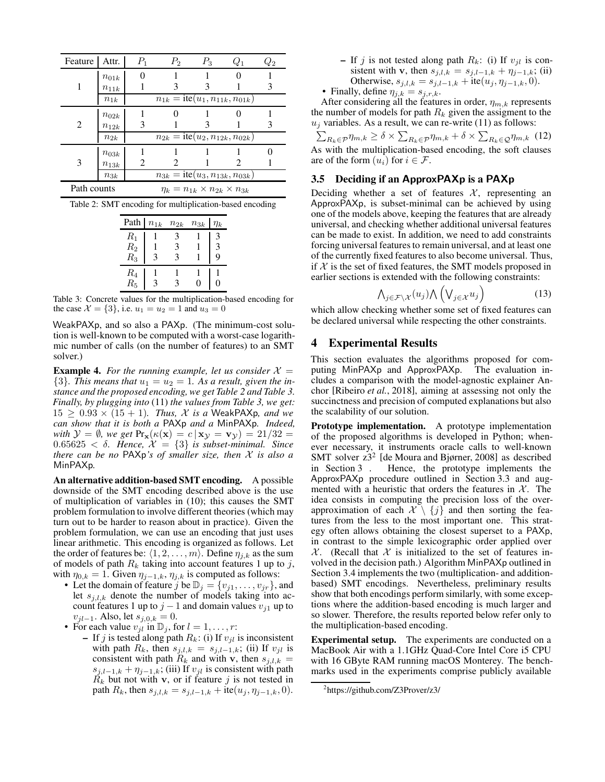<span id="page-4-1"></span>

| Feature     | Attr.     | $P_1$ | $P_2$                                               | $P_3$ | $Q_1$ | $Q_{2}$ |
|-------------|-----------|-------|-----------------------------------------------------|-------|-------|---------|
|             | $n_{01k}$ |       |                                                     |       |       |         |
| 1           | $n_{11k}$ |       |                                                     | 3     |       | 3       |
|             | $n_{1k}$  |       | $\overline{n_{1k}} =$ ite $(u_1, n_{11k}, n_{01k})$ |       |       |         |
|             | $n_{02k}$ |       |                                                     |       |       |         |
| 2           | $n_{12k}$ | 3     |                                                     |       |       | 3       |
|             |           |       |                                                     |       |       |         |
|             | $n_{2k}$  |       | $\overline{n_{2k}} =$ ite $(u_2, n_{12k}, n_{02k})$ |       |       |         |
|             | $n_{03k}$ |       |                                                     |       |       |         |
| 3           | $n_{13k}$ | 2     |                                                     |       |       |         |
|             | $n_{3k}$  |       | $n_{3k} = \text{ite}(u_3, n_{13k}, n_{03k})$        |       |       |         |
| Path counts |           |       | $\eta_k = n_{1k} \times n_{2k} \times n_{3k}$       |       |       |         |

<span id="page-4-2"></span>

| Path    | $n_{1k}$ | $n_{2k}$ | $n_{3k}$ | Ĩк          |
|---------|----------|----------|----------|-------------|
| $R_1$   |          | 3        |          | 3           |
| $R_2$   |          | 3        |          | 3           |
| $R_3$   | 3        | 3        |          | $\mathbf Q$ |
| $R_{4}$ |          |          |          |             |
| $R_5$   |          |          |          |             |

Table 3: Concrete values for the multiplication-based encoding for the case  $\mathcal{X} = \{3\}$ , i.e.  $u_1 = u_2 = 1$  and  $u_3 = 0$ 

WeakPAXp, and so also a PAXp. (The minimum-cost solution is well-known to be computed with a worst-case logarithmic number of calls (on the number of features) to an SMT solver.)

**Example 4.** For the running example, let us consider  $X =$  $\{3\}$ . This means that  $u_1 = u_2 = 1$ . As a result, given the in*stance and the proposed encoding, we get [Table 2](#page-4-1) and [Table 3.](#page-4-2) Finally, by plugging into* [\(11\)](#page-3-0) *the values from [Table 3,](#page-4-2) we get:*  $15 \geq 0.93 \times (15 + 1)$ *. Thus, X is a* WeakPAXp, and we *can show that it is both a* PAXp *and a* MinPAXp*. Indeed, with*  $\mathcal{Y} = \emptyset$ *, we get*  $Pr_{\mathbf{x}}(\kappa(\mathbf{x}) = c | \mathbf{x}_{\mathcal{Y}} = \mathbf{v}_{\mathcal{Y}}) = 21/32$  $0.65625 < \delta$ . Hence,  $\mathcal{X} = \{3\}$  is subset-minimal. Since *there can be no* PAXp*'s of smaller size, then* X *is also a* MinPAXp*.*

An alternative addition-based SMT encoding. A possible downside of the SMT encoding described above is the use of multiplication of variables in [\(10\)](#page-3-1); this causes the SMT problem formulation to involve different theories (which may turn out to be harder to reason about in practice). Given the problem formulation, we can use an encoding that just uses linear arithmetic. This encoding is organized as follows. Let the order of features be:  $\langle 1, 2, \ldots, m \rangle$ . Define  $\eta_{j,k}$  as the sum of models of path  $R_k$  taking into account features 1 up to j, with  $\eta_{0,k} = 1$ . Given  $\eta_{j-1,k}, \eta_{j,k}$  is computed as follows:

- Let the domain of feature j be  $\mathbb{D}_j = \{v_{j1}, \dots, v_{jr}\}\$ , and let  $s_{j,l,k}$  denote the number of models taking into account features 1 up to  $j-1$  and domain values  $v_{i1}$  up to  $v_{jl-1}$ . Also, let  $s_{j,0,k} = 0$ .
- For each value  $v_{il}$  in  $\mathbb{D}_i$ , for  $l = 1, \ldots, r$ :
	- If j is tested along path  $R_k$ : (i) If  $v_{il}$  is inconsistent with path  $R_k$ , then  $s_{j,l,k} = s_{j,l-1,k}$ ; (ii) If  $v_{jl}$  is consistent with path  $R_k$  and with v, then  $s_{j,l,k}$  =  $s_{j,l-1,k} + \eta_{j-1,k}$ ; (iii) If  $v_{jl}$  is consistent with path  $R_k$  but not with v, or if feature j is not tested in path  $R_k$ , then  $s_{j,l,k} = s_{j,l-1,k} + \text{ite}(u_j, \eta_{j-1,k}, 0)$ .
- If j is not tested along path  $R_k$ : (i) If  $v_{jl}$  is consistent with v, then  $s_{j,l,k} = s_{j,l-1,k} + \eta_{j-1,k}$ ; (ii) Otherwise,  $s_{j,l,k} = s_{j,l-1,k} + \text{ite}(u_j, \eta_{j-1,k}, 0)$ .
- Finally, define  $\eta_{j,k} = s_{j,r,k}$ .

After considering all the features in order,  $\eta_{m,k}$  represents the number of models for path  $R_k$  given the assigment to the  $u_j$  variables. As a result, we can re-write [\(11\)](#page-3-0) as follows:

 $\sum_{R_k\in\mathcal{P}}\eta_{m,k}\geq \delta\times\sum_{R_k\in\mathcal{P}}\eta_{m,k}+\delta\times\sum_{R_k\in\mathcal{Q}}\eta_{m,k}$  (12) As with the multiplication-based encoding, the soft clauses are of the form  $(u_i)$  for  $i \in \mathcal{F}$ .

## 3.5 Deciding if an ApproxPAXp is a PAXp

Deciding whether a set of features  $X$ , representing an ApproxPAXp, is subset-minimal can be achieved by using one of the models above, keeping the features that are already universal, and checking whether additional universal features can be made to exist. In addition, we need to add constraints forcing universal features to remain universal, and at least one of the currently fixed features to also become universal. Thus, if  $X$  is the set of fixed features, the SMT models proposed in earlier sections is extended with the following constraints:

$$
\bigwedge_{j \in \mathcal{F} \backslash \mathcal{X}} (u_j) \bigwedge \left( \bigvee_{j \in \mathcal{X}} u_j \right) \tag{13}
$$

<span id="page-4-0"></span>which allow checking whether some set of fixed features can be declared universal while respecting the other constraints.

# 4 Experimental Results

This section evaluates the algorithms proposed for computing MinPAXp and ApproxPAXp. The evaluation includes a comparison with the model-agnostic explainer Anchor [\[Ribeiro](#page-7-13) *et al.*, 2018], aiming at assessing not only the succinctness and precision of computed explanations but also the scalability of our solution.

Prototype implementation. A prototype implementation of the proposed algorithms is developed in Python; whenever necessary, it instruments oracle calls to well-known SMT solver  $z3^2$  [\[de Moura and Bjørner, 2008\]](#page-7-26) as described in [Section 3](#page-2-6) . Hence, the prototype implements the ApproxPAXp procedure outlined in [Section 3.3](#page-3-2) and augmented with a heuristic that orders the features in  $X$ . The idea consists in computing the precision loss of the overapproximation of each  $\mathcal{X} \setminus \{j\}$  and then sorting the features from the less to the most important one. This strategy often allows obtaining the closest superset to a PAXp, in contrast to the simple lexicographic order applied over  $X$ . (Recall that X is initialized to the set of features involved in the decision path.) Algorithm MinPAXp outlined in [Section 3.4](#page-3-3) implements the two (multiplication- and additionbased) SMT encodings. Nevertheless, preliminary results show that both encodings perform similarly, with some exceptions where the addition-based encoding is much larger and so slower. Therefore, the results reported below refer only to the multiplication-based encoding.

Experimental setup. The experiments are conducted on a MacBook Air with a 1.1GHz Quad-Core Intel Core i5 CPU with 16 GByte RAM running macOS Monterey. The benchmarks used in the experiments comprise publicly available

<sup>&</sup>lt;sup>2</sup><https://github.com/Z3Prover/z3/>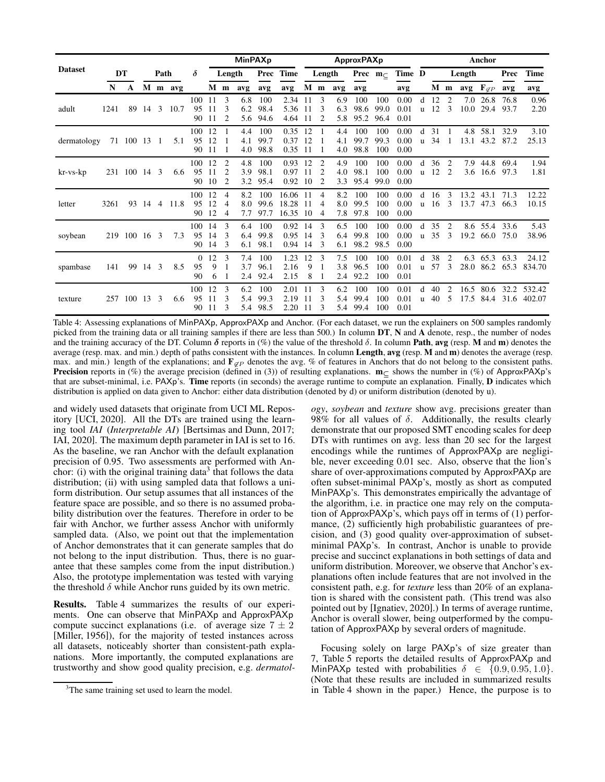<span id="page-5-0"></span>

|                |      |              |      |                |         |                      | <b>MinPAXp</b>      |                                                    |                   |                     | ApproxPAXp              |                   |             |                   |                           |                     | Anchor               |                   |          |                     |              |                        |              |                  |
|----------------|------|--------------|------|----------------|---------|----------------------|---------------------|----------------------------------------------------|-------------------|---------------------|-------------------------|-------------------|-------------|-------------------|---------------------------|---------------------|----------------------|-------------------|----------|---------------------|--------------|------------------------|--------------|------------------|
| <b>Dataset</b> |      | DT           |      | Path           |         | $\delta$             |                     | Length                                             |                   |                     | Prec Time               |                   | Length      |                   | <b>Prec</b> $m_{\subset}$ |                     | Time D               |                   |          |                     | Length       |                        | Prec         | Time             |
|                | N    | A            |      |                | M m avg |                      | $M$ m               |                                                    | avg               | avg                 | avg                     |                   | $M$ m       | avg               | avg                       |                     | avg                  |                   |          | M m                 |              | avg $F_{\mathscr{Q}P}$ | avg          | avg              |
| adult          | 1241 | 89           | 14 3 |                | 10.7    | 100<br>95<br>90      | $-11$<br>-11<br>-11 | 3<br>3<br>$\overline{c}$                           | 6.8<br>6.2<br>5.6 | 100<br>98.4<br>94.6 | 2.34<br>5.36<br>4.64    | -11<br>11<br>-11  | 3<br>3<br>2 | 6.9<br>6.3<br>5.8 | 100<br>98.6<br>95.2       | 100<br>99.0<br>96.4 | 0.00<br>0.01<br>0.01 | d<br>u            | 12<br>12 | 2<br>3              | 7.0<br>10.0  | 26.8<br>29.4           | 76.8<br>93.7 | 0.96<br>2.20     |
| dermatology    |      | 71 100 13 1  |      |                | 5.1     | 100 12<br>95<br>90   | 12<br>-11           |                                                    | 4.4<br>4.1<br>4.0 | 100<br>99.7<br>98.8 | 0.35<br>0.37<br>0.35    | - 12<br>12<br>-11 |             | 4.4<br>4.1<br>4.0 | 100<br>99.7<br>98.8       | 100<br>99.3<br>100  | 0.00<br>0.00<br>0.00 | d<br>$\mathbf{u}$ | 31<br>34 | -1                  | 4.8<br>13.1  | 58.1<br>43.2 87.2      | 32.9         | 3.10<br>25.13    |
| kr-vs-kp       |      | 231 100 14 3 |      |                | 6.6     | 100 12<br>95<br>90   | 11<br>10            | 2<br>2<br>2                                        | 4.8<br>3.9<br>3.2 | 100<br>98.1<br>95.4 | 0.93<br>0.97<br>0.92    | 12<br>11<br>10    | 2<br>2<br>2 | 4.9<br>4.0<br>3.3 | 100<br>98.1<br>95.4       | 100<br>100<br>99.0  | 0.00<br>0.00<br>0.00 | d<br>u.           | 36<br>12 | 2<br>2              | 7.9<br>3.6   | 44.8<br>16.6 97.3      | 69.4         | 1.94<br>1.81     |
| letter         | 3261 | 93           | 14   | $\overline{4}$ | 11.8    | 100<br>95<br>90      | 12<br>12<br>12      | $\overline{4}$<br>$\overline{4}$<br>$\overline{4}$ | 8.2<br>8.0<br>7.7 | 100<br>99.6<br>97.7 | 16.06<br>18.28<br>16.35 | 11<br>-11<br>-10  | 4<br>4<br>4 | 8.2<br>8.0<br>7.8 | 100<br>99.5<br>97.8       | 100<br>100<br>100   | 0.00<br>0.00<br>0.00 | d<br>u.           | 16<br>16 | 3<br>3              | 13.2<br>13.7 | 43.1<br>47.3           | 71.3<br>66.3 | 12.22<br>10.15   |
| soybean        |      | 219 100 16 3 |      |                | 7.3     | 100<br>95<br>90      | 14<br>14<br>14      | 3<br>3<br>3                                        | 6.4<br>6.4<br>6.1 | 100<br>99.8<br>98.1 | 0.92<br>0.95<br>0.94    | 14<br>14<br>14    | 3<br>3<br>3 | 6.5<br>6.4<br>6.1 | 100<br>99.8<br>98.2       | 100<br>100<br>98.5  | 0.00<br>0.00<br>0.00 | d<br>u            | 35<br>35 | 2<br>3              | 19.2         | 8.6 55.4<br>66.0       | 33.6<br>75.0 | 5.43<br>38.96    |
| spambase       | 141  | 99           | 14 3 |                | 8.5     | $\Omega$<br>95<br>90 | 12<br>9<br>6        | 3                                                  | 7.4<br>3.7<br>2.4 | 100<br>96.1<br>92.4 | 1.23<br>2.16<br>2.15    | 12<br>9<br>8      | 3           | 7.5<br>3.8<br>2.4 | 100<br>96.5<br>92.2       | 100<br>100<br>100   | 0.01<br>0.01<br>0.01 | d<br>u            | 38<br>57 | $\overline{2}$<br>3 | 6.3<br>28.0  | 65.3<br>86.2           | 63.3<br>65.3 | 24.12<br>834.70  |
| texture        | 257  | 100 13       |      | -3             | 6.6     | 100<br>95<br>90      | 12<br>11<br>-11     | 3<br>3<br>3                                        | 6.2<br>5.4<br>5.4 | 100<br>99.3<br>98.5 | 2.01<br>2.19<br>2.20    | -11<br>-11<br>-11 | 3<br>3<br>3 | 6.2<br>5.4<br>5.4 | 100<br>99.4<br>99.4       | 100<br>100<br>100   | 0.01<br>0.01<br>0.01 | d<br>u            | 40<br>40 | 2<br>5              | 16.5<br>17.5 | 80.6<br>84.4           | 32.2<br>31.6 | 532.42<br>402.07 |

Table 4: Assessing explanations of MinPAXp, ApproxPAXp and Anchor. (For each dataset, we run the explainers on 500 samples randomly picked from the training data or all training samples if there are less than 500.) In column DT, N and A denote, resp., the number of nodes and the training accuracy of the DT. Column  $\delta$  reports in (%) the value of the threshold  $\delta$ . In column **Path, avg** (resp. M and m) denotes the average (resp. max. and min.) depth of paths consistent with the instances. In column Length, avg (resp. M and m) denotes the average (resp. max. and min.) length of the explanations; and  $\mathbf{F}_{\mathscr{P}}$  denotes the avg. % of features in Anchors that do not belong to the consistent paths. **Precision** reports in  $(\%)$  the average precision (defined in [\(3\)](#page-2-2)) of resulting explanations.  $m_C$  shows the number in  $(\%)$  of ApproxPAXp's that are subset-minimal, i.e. PAXp's. Time reports (in seconds) the average runtime to compute an explanation. Finally, D indicates which distribution is applied on data given to Anchor: either data distribution (denoted by d) or uniform distribution (denoted by u).

and widely used datasets that originate from UCI ML Repository [\[UCI, 2020\]](#page-7-27). All the DTs are trained using the learning tool *IAI* (*Interpretable AI*) [\[Bertsimas and Dunn, 2017;](#page-6-0) [IAI, 2020\]](#page-7-28). The maximum depth parameter in IAI is set to 16. As the baseline, we ran Anchor with the default explanation precision of 0.95. Two assessments are performed with Anchor: (i) with the original training data<sup>3</sup> that follows the data distribution; (ii) with using sampled data that follows a uniform distribution. Our setup assumes that all instances of the feature space are possible, and so there is no assumed probability distribution over the features. Therefore in order to be fair with Anchor, we further assess Anchor with uniformly sampled data. (Also, we point out that the implementation of Anchor demonstrates that it can generate samples that do not belong to the input distribution. Thus, there is no guarantee that these samples come from the input distribution.) Also, the prototype implementation was tested with varying the threshold  $\delta$  while Anchor runs guided by its own metric.

Results. [Table 4](#page-5-0) summarizes the results of our experiments. One can observe that MinPAXp and ApproxPAXp compute succinct explanations (i.e. of average size  $7 \pm 2$ [\[Miller, 1956\]](#page-7-11)), for the majority of tested instances across all datasets, noticeably shorter than consistent-path explanations. More importantly, the computed explanations are trustworthy and show good quality precision, e.g. *dermatol-* *ogy*, *soybean* and *texture* show avg. precisions greater than 98% for all values of  $\delta$ . Additionally, the results clearly demonstrate that our proposed SMT encoding scales for deep DTs with runtimes on avg. less than 20 sec for the largest encodings while the runtimes of ApproxPAXp are negligible, never exceeding 0.01 sec. Also, observe that the lion's share of over-approximations computed by ApproxPAXp are often subset-minimal PAXp's, mostly as short as computed MinPAXp's. This demonstrates empirically the advantage of the algorithm, i.e. in practice one may rely on the computation of ApproxPAXp's, which pays off in terms of (1) performance, (2) sufficiently high probabilistic guarantees of precision, and (3) good quality over-approximation of subsetminimal PAXp's. In contrast, Anchor is unable to provide precise and succinct explanations in both settings of data and uniform distribution. Moreover, we observe that Anchor's explanations often include features that are not involved in the consistent path, e.g. for *texture* less than 20% of an explanation is shared with the consistent path. (This trend was also pointed out by [\[Ignatiev, 2020\]](#page-7-29).) In terms of average runtime, Anchor is overall slower, being outperformed by the computation of ApproxPAXp by several orders of magnitude.

Focusing solely on large PAXp's of size greater than 7, [Table 5](#page-6-3) reports the detailed results of ApproxPAXp and MinPAXp tested with probabilities  $\delta \in \{0.9, 0.95, 1.0\}$ . (Note that these results are included in summarized results in [Table 4](#page-5-0) shown in the paper.) Hence, the purpose is to

<sup>&</sup>lt;sup>3</sup>The same training set used to learn the model.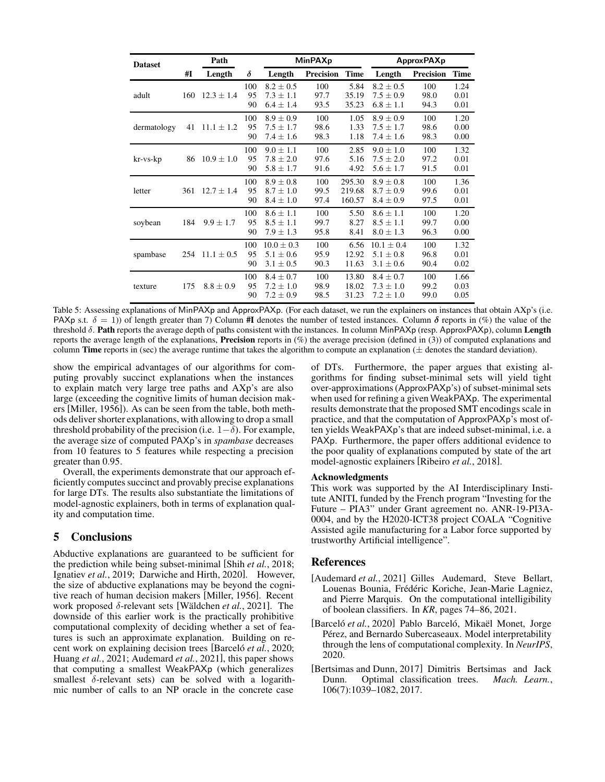<span id="page-6-3"></span>

| <b>Dataset</b> |     | Path           |                 |                                                  | <b>MinPAXp</b>      |                            | <b>ApproxPAXp</b>                                |                     |                      |  |  |  |
|----------------|-----|----------------|-----------------|--------------------------------------------------|---------------------|----------------------------|--------------------------------------------------|---------------------|----------------------|--|--|--|
|                | #I  | Length         | δ               | Length                                           | <b>Precision</b>    | <b>Time</b>                | Length                                           | <b>Precision</b>    | <b>Time</b>          |  |  |  |
| adult          | 160 | $12.3 \pm 1.4$ | 100<br>95<br>90 | $8.2 \pm 0.5$<br>$7.3 \pm 1.1$<br>$6.4 \pm 1.4$  | 100<br>97.7<br>93.5 | 5.84<br>35.19<br>35.23     | $8.2 \pm 0.5$<br>$7.5 \pm 0.9$<br>$6.8 \pm 1.1$  | 100<br>98.0<br>94.3 | 1.24<br>0.01<br>0.01 |  |  |  |
| dermatology    | 41  | $11.1 \pm 1.2$ | 100<br>95<br>90 | $8.9 \pm 0.9$<br>$7.5 \pm 1.7$<br>$7.4 \pm 1.6$  | 100<br>98.6<br>98.3 | 1.05<br>1.33<br>1.18       | $8.9 \pm 0.9$<br>$7.5 \pm 1.7$<br>$7.4 \pm 1.6$  | 100<br>98.6<br>98.3 | 1.20<br>0.00<br>0.00 |  |  |  |
| $kr$ -vs- $kp$ | 86  | $10.9 \pm 1.0$ | 100<br>95<br>90 | $9.0 \pm 1.1$<br>$7.8 \pm 2.0$<br>$5.8 \pm 1.7$  | 100<br>97.6<br>91.6 | 2.85<br>5.16<br>4.92       | $9.0 \pm 1.0$<br>$7.5 \pm 2.0$<br>$5.6 \pm 1.7$  | 100<br>97.2<br>91.5 | 1.32<br>0.01<br>0.01 |  |  |  |
| letter         | 361 | $12.7 \pm 1.4$ | 100<br>95<br>90 | $8.9 + 0.8$<br>$8.7 \pm 1.0$<br>$8.4 \pm 1.0$    | 100<br>99.5<br>97.4 | 295.30<br>219.68<br>160.57 | $8.9 + 0.8$<br>$8.7 \pm 0.9$<br>$8.4 \pm 0.9$    | 100<br>99.6<br>97.5 | 1.36<br>0.01<br>0.01 |  |  |  |
| soybean        | 184 | $9.9 \pm 1.7$  | 100<br>95<br>90 | $8.6 \pm 1.1$<br>$8.5 \pm 1.1$<br>$7.9 \pm 1.3$  | 100<br>99.7<br>95.8 | 5.50<br>8.27<br>8.41       | $8.6 \pm 1.1$<br>$8.5 \pm 1.1$<br>$8.0 \pm 1.3$  | 100<br>99.7<br>96.3 | 1.20<br>0.00<br>0.00 |  |  |  |
| spambase       | 254 | $11.1 \pm 0.5$ | 100<br>95<br>90 | $10.0 \pm 0.3$<br>$5.1 \pm 0.6$<br>$3.1 \pm 0.5$ | 100<br>95.9<br>90.3 | 6.56<br>12.92<br>11.63     | $10.1 \pm 0.4$<br>$5.1 \pm 0.8$<br>$3.1 \pm 0.6$ | 100<br>96.8<br>90.4 | 1.32<br>0.01<br>0.02 |  |  |  |
| texture        | 175 | $8.8 \pm 0.9$  | 100<br>95<br>90 | $8.4 \pm 0.7$<br>$7.2 \pm 1.0$<br>$7.2 \pm 0.9$  | 100<br>98.9<br>98.5 | 13.80<br>18.02<br>31.23    | $8.4 \pm 0.7$<br>$7.3 \pm 1.0$<br>$7.2 \pm 1.0$  | 100<br>99.2<br>99.0 | 1.66<br>0.03<br>0.05 |  |  |  |

Table 5: Assessing explanations of MinPAXp and ApproxPAXp. (For each dataset, we run the explainers on instances that obtain AXp's (i.e. PAXp s.t.  $\delta = 1$ ) of length greater than 7) Column #I denotes the number of tested instances. Column  $\delta$  reports in (%) the value of the threshold  $\delta$ . Path reports the average depth of paths consistent with the instances. In column MinPAXp (resp. ApproxPAXp), column Length reports the average length of the explanations, **Precision** reports in  $(\%)$  the average precision (defined in [\(3\)](#page-2-2)) of computed explanations and column Time reports in (sec) the average runtime that takes the algorithm to compute an explanation  $(±$  denotes the standard deviation).

show the empirical advantages of our algorithms for computing provably succinct explanations when the instances to explain match very large tree paths and AXp's are also large (exceeding the cognitive limits of human decision makers [\[Miller, 1956\]](#page-7-11)). As can be seen from the table, both methods deliver shorter explanations, with allowing to drop a small threshold probability of the precision (i.e.  $1-\delta$ ). For example, the average size of computed PAXp's in *spambase* decreases from 10 features to 5 features while respecting a precision greater than 0.95.

Overall, the experiments demonstrate that our approach efficiently computes succinct and provably precise explanations for large DTs. The results also substantiate the limitations of model-agnostic explainers, both in terms of explanation quality and computation time.

# 5 Conclusions

Abductive explanations are guaranteed to be sufficient for the prediction while being subset-minimal [Shih *et al.*[, 2018;](#page-7-16) [Ignatiev](#page-7-17) *et al.*, 2019; [Darwiche and Hirth, 2020\]](#page-7-30). However, the size of abductive explanations may be beyond the cognitive reach of human decision makers [\[Miller, 1956\]](#page-7-11). Recent work proposed  $\delta$ -relevant sets [Wäldchen *et al.*, 2021]. The downside of this earlier work is the practically prohibitive computational complexity of deciding whether a set of features is such an approximate explanation. Building on recent work on explaining decision trees [Barcel of *et al.*, 2020; [Huang](#page-7-10) *et al.*, 2021; [Audemard](#page-6-2) *et al.*, 2021], this paper shows that computing a smallest WeakPAXp (which generalizes smallest  $\delta$ -relevant sets) can be solved with a logarithmic number of calls to an NP oracle in the concrete case

of DTs. Furthermore, the paper argues that existing algorithms for finding subset-minimal sets will yield tight over-approximations (ApproxPAXp's) of subset-minimal sets when used for refining a given WeakPAXp. The experimental results demonstrate that the proposed SMT encodings scale in practice, and that the computation of ApproxPAXp's most often yields WeakPAXp's that are indeed subset-minimal, i.e. a PAXp. Furthermore, the paper offers additional evidence to the poor quality of explanations computed by state of the art model-agnostic explainers [\[Ribeiro](#page-7-13) *et al.*, 2018].

#### Acknowledgments

This work was supported by the AI Interdisciplinary Institute ANITI, funded by the French program "Investing for the Future – PIA3" under Grant agreement no. ANR-19-PI3A-0004, and by the H2020-ICT38 project COALA "Cognitive Assisted agile manufacturing for a Labor force supported by trustworthy Artificial intelligence".

# References

- <span id="page-6-2"></span>[Audemard *et al.*, 2021] Gilles Audemard, Steve Bellart, Louenas Bounia, Frédéric Koriche, Jean-Marie Lagniez, and Pierre Marquis. On the computational intelligibility of boolean classifiers. In *KR*, pages 74–86, 2021.
- <span id="page-6-1"></span>[Barceló et al., 2020] Pablo Barceló, Mikaël Monet, Jorge Pérez, and Bernardo Subercaseaux. Model interpretability through the lens of computational complexity. In *NeurIPS*, 2020.
- <span id="page-6-0"></span>[Bertsimas and Dunn, 2017] Dimitris Bertsimas and Jack Dunn. Optimal classification trees. *Mach. Learn.*, 106(7):1039–1082, 2017.